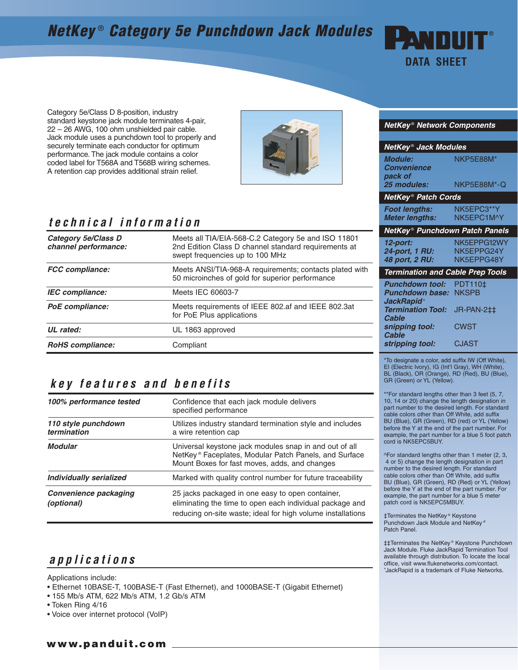# **NetKey** ® **Category 5e Punchdown Jack Modules**



Category 5e/Class D 8-position, industry standard keystone jack module terminates 4-pair, 22 – 26 AWG, 100 ohm unshielded pair cable. Jack module uses a punchdown tool to properly and securely terminate each conductor for optimum performance. The jack module contains a color coded label for T568A and T568B wiring schemes. A retention cap provides additional strain relief.



#### **technical information**

| <b>Category 5e/Class D</b><br>channel performance: | Meets all TIA/EIA-568-C.2 Category 5e and ISO 11801<br>2nd Edition Class D channel standard requirements at<br>swept frequencies up to 100 MHz |
|----------------------------------------------------|------------------------------------------------------------------------------------------------------------------------------------------------|
| <b>FCC</b> compliance:                             | Meets ANSI/TIA-968-A requirements; contacts plated with<br>50 microinches of gold for superior performance                                     |
| IEC compliance:                                    | Meets IEC 60603-7                                                                                                                              |
| PoE compliance:                                    | Meets requirements of IEEE 802.af and IEEE 802.3at<br>for PoE Plus applications                                                                |
| UL rated:                                          | UL 1863 approved                                                                                                                               |
| <b>RoHS</b> compliance:                            | Compliant                                                                                                                                      |

### **key features and benefits**

| 100% performance tested                    | Confidence that each jack module delivers<br>specified performance                                                                                                           |
|--------------------------------------------|------------------------------------------------------------------------------------------------------------------------------------------------------------------------------|
| 110 style punchdown<br>termination         | Utilizes industry standard termination style and includes<br>a wire retention cap                                                                                            |
| <b>Modular</b>                             | Universal keystone jack modules snap in and out of all<br>NetKey <sup>®</sup> Faceplates, Modular Patch Panels, and Surface<br>Mount Boxes for fast moves, adds, and changes |
| <b>Individually serialized</b>             | Marked with quality control number for future traceability                                                                                                                   |
| <b>Convenience packaging</b><br>(optional) | 25 jacks packaged in one easy to open container,<br>eliminating the time to open each individual package and<br>reducing on-site waste; ideal for high volume installations  |

## **applications**

Applications include:

- Ethernet 10BASE-T, 100BASE-T (Fast Ethernet), and 1000BASE-T (Gigabit Ethernet)
- 155 Mb/s ATM, 622 Mb/s ATM, 1.2 Gb/s ATM
- Token Ring 4/16
- Voice over internet protocol (VoIP)

#### **NetKey** ® **Network Components**

| NetKey® Jack Modules                                                                       |                                              |  |  |
|--------------------------------------------------------------------------------------------|----------------------------------------------|--|--|
| <b>Module:</b><br><b>Convenience</b><br>pack of                                            | NKP5E88M*                                    |  |  |
| 25 modules:                                                                                | NKP5E88M*-Q                                  |  |  |
| <b>NetKey<sup>®</sup> Patch Cords</b>                                                      |                                              |  |  |
| <b>Foot lengths:</b><br><b>Meter lengths:</b>                                              | NK5EPC3**Y<br>NK5EPC1M^Y                     |  |  |
| NetKey® Punchdown Patch Panels                                                             |                                              |  |  |
| 12-port:<br><b>24-port, 1 RU:</b><br>48 port, 2 RU:                                        | NK5EPPG12WY<br>NK5EPPG24Y<br>NK5FPPG48Y      |  |  |
| <b>Termination and Cable Prep Tools</b>                                                    |                                              |  |  |
| <b>Punchdown tool:</b><br><b>Punchdown base:</b><br>JackRapid*<br><b>Termination Tool:</b> | PDT110±<br><b>NKSPB</b><br><b>JR-PAN-2‡‡</b> |  |  |
| Cable<br>snipping tool:<br><b>Cable</b>                                                    | CWST                                         |  |  |
| stripping tool:                                                                            | CJAST                                        |  |  |

\*To designate a color, add suffix IW (Off White), EI (Electric Ivory), IG (Int'l Gray), WH (White), BL (Black), OR (Orange), RD (Red), BU (Blue), GR (Green) or YL (Yellow).

\*\*For standard lengths other than 3 feet (5, 7, 10, 14 or 20) change the length designation in part number to the desired length. For standard cable colors other than Off White, add suffix BU (Blue), GR (Green), RD (red) or YL (Yellow) before the Y at the end of the part number. For example, the part number for a blue 5 foot patch cord is NK5EPC5BUY.

^For standard lengths other than 1 meter (2, 3, 4 or 5) change the length designation in part number to the desired length. For standard cable colors other than Off White, add suffix BU (Blue), GR (Green), RD (Red) or YL (Yellow) before the Y at the end of the part number. For example, the part number for a blue 5 meter patch cord is NK5EPC5MBUY.

‡Terminates the NetKey ® Keystone Punchdown Jack Module and NetKey ® Patch Panel.

‡‡Terminates the NetKey ® Keystone Punchdown Jack Module. Fluke JackRapid Termination Tool available through distribution. To locate the local office, visit www.flukenetworks.com/contact. + JackRapid is a trademark of Fluke Networks.